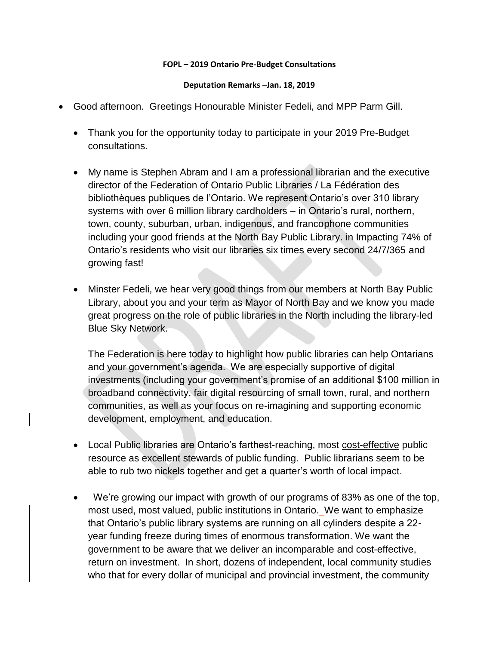## **FOPL – 2019 Ontario Pre-Budget Consultations**

## **Deputation Remarks –Jan. 18, 2019**

- Good afternoon. Greetings Honourable Minister Fedeli, and MPP Parm Gill.
	- Thank you for the opportunity today to participate in your 2019 Pre-Budget consultations.
	- My name is Stephen Abram and I am a professional librarian and the executive director of the Federation of Ontario Public Libraries / La Fédération des bibliothèques publiques de l'Ontario. We represent Ontario's over 310 library systems with over 6 million library cardholders – in Ontario's rural, northern, town, county, suburban, urban, indigenous, and francophone communities including your good friends at the North Bay Public Library. in Impacting 74% of Ontario's residents who visit our libraries six times every second 24/7/365 and growing fast!
	- Minster Fedeli, we hear very good things from our members at North Bay Public Library, about you and your term as Mayor of North Bay and we know you made great progress on the role of public libraries in the North including the library-led Blue Sky Network.

The Federation is here today to highlight how public libraries can help Ontarians and your government's agenda. We are especially supportive of digital investments (including your government's promise of an additional \$100 million in broadband connectivity, fair digital resourcing of small town, rural, and northern communities, as well as your focus on re-imagining and supporting economic development, employment, and education.

- Local Public libraries are Ontario's farthest-reaching, most cost-effective public resource as excellent stewards of public funding. Public librarians seem to be able to rub two nickels together and get a quarter's worth of local impact.
- We're growing our impact with growth of our programs of 83% as one of the top, most used, most valued, public institutions in Ontario. We want to emphasize that Ontario's public library systems are running on all cylinders despite a 22 year funding freeze during times of enormous transformation. We want the government to be aware that we deliver an incomparable and cost-effective, return on investment. In short, dozens of independent, local community studies who that for every dollar of municipal and provincial investment, the community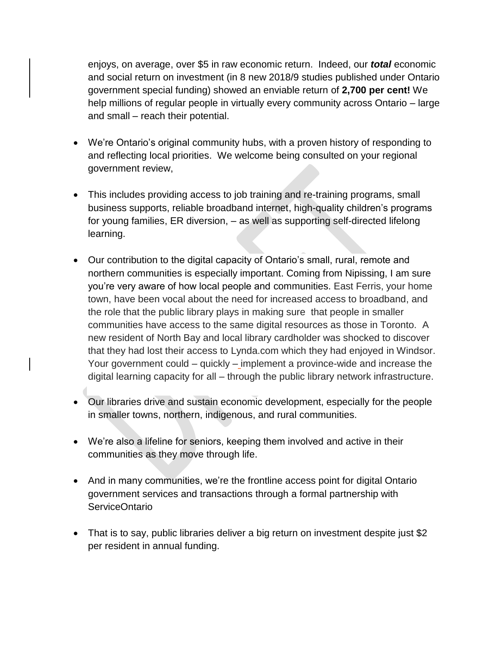enjoys, on average, over \$5 in raw economic return. Indeed, our *total* economic and social return on investment (in 8 new 2018/9 studies published under Ontario government special funding) showed an enviable return of **2,700 per cent!** We help millions of regular people in virtually every community across Ontario – large and small – reach their potential.

- We're Ontario's original community hubs, with a proven history of responding to and reflecting local priorities. We welcome being consulted on your regional government review,
- This includes providing access to job training and re-training programs, small business supports, reliable broadband internet, high-quality children's programs for young families, ER diversion, – as well as supporting self-directed lifelong learning.
- Our contribution to the digital capacity of Ontario's small, rural, remote and northern communities is especially important. Coming from Nipissing, I am sure you're very aware of how local people and communities. East Ferris, your home town, have been vocal about the need for increased access to broadband, and the role that the public library plays in making sure that people in smaller communities have access to the same digital resources as those in Toronto. A new resident of North Bay and local library cardholder was shocked to discover that they had lost their access to Lynda.com which they had enjoyed in Windsor. Your government could – quickly – implement a province-wide and increase the digital learning capacity for all – through the public library network infrastructure.
- Our libraries drive and sustain economic development, especially for the people in smaller towns, northern, indigenous, and rural communities.
- We're also a lifeline for seniors, keeping them involved and active in their communities as they move through life.
- And in many communities, we're the frontline access point for digital Ontario government services and transactions through a formal partnership with ServiceOntario
- That is to say, public libraries deliver a big return on investment despite just \$2 per resident in annual funding.